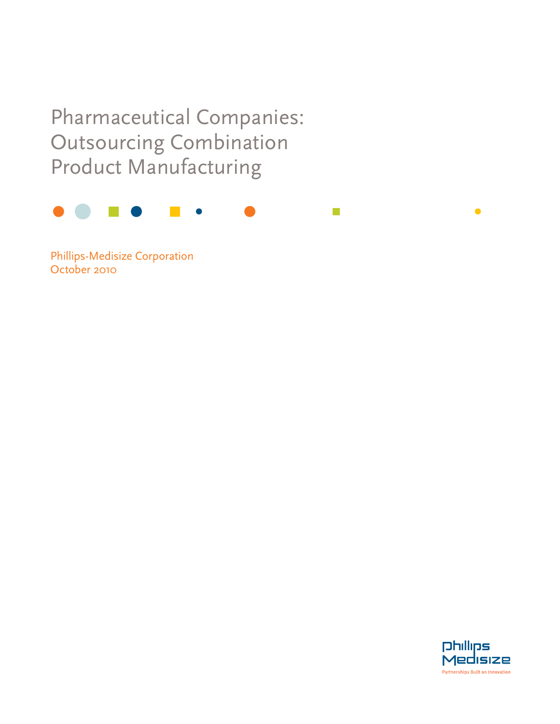Pharmaceutical Companies: Outsourcing Combination Product Manufacturing



Phillips-Medisize Corporation October 2010

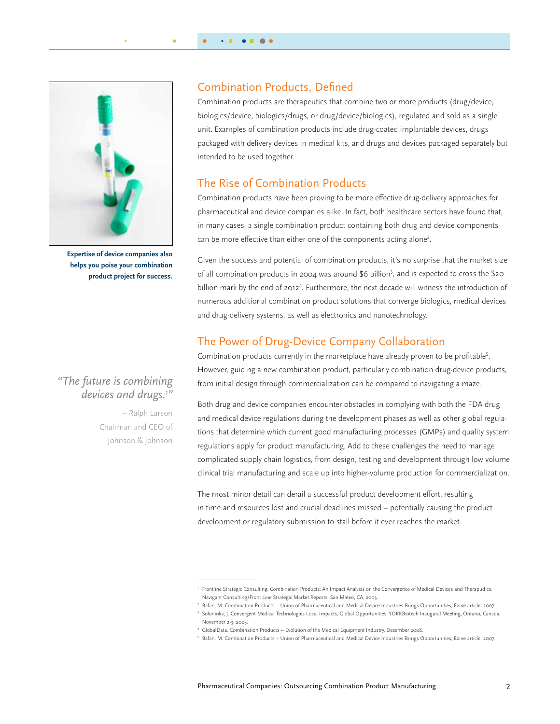

**Expertise of device companies also helps you poise your combination product project for success.** 

# *"The future is combining devices and drugs.1 "*

– Ralph Larson Chairman and CEO of Johnson & Johnson

### Combination Products, Defined

Combination products are therapeutics that combine two or more products (drug/device, biologics/device, biologics/drugs, or drug/device/biologics), regulated and sold as a single unit. Examples of combination products include drug-coated implantable devices, drugs packaged with delivery devices in medical kits, and drugs and devices packaged separately but intended to be used together.

## The Rise of Combination Products

Combination products have been proving to be more effective drug-delivery approaches for pharmaceutical and device companies alike. In fact, both healthcare sectors have found that, in many cases, a single combination product containing both drug and device components can be more effective than either one of the components acting alone<sup>2</sup>.

Given the success and potential of combination products, it's no surprise that the market size of all combination products in 2004 was around \$6 billion<sup>3</sup>, and is expected to cross the \$20 billion mark by the end of 2012<sup>4</sup>. Furthermore, the next decade will witness the introduction of numerous additional combination product solutions that converge biologics, medical devices and drug-delivery systems, as well as electronics and nanotechnology.

# The Power of Drug-Device Company Collaboration

Combination products currently in the marketplace have already proven to be profitable<sup>5</sup>. However, guiding a new combination product, particularly combination drug-device products, from initial design through commercialization can be compared to navigating a maze.

Both drug and device companies encounter obstacles in complying with both the FDA drug and medical device regulations during the development phases as well as other global regulations that determine which current good manufacturing processes (GMPs) and quality system regulations apply for product manufacturing. Add to these challenges the need to manage complicated supply chain logistics, from design, testing and development through low volume clinical trial manufacturing and scale up into higher-volume production for commercialization.

The most minor detail can derail a successful product development effort, resulting in time and resources lost and crucial deadlines missed – potentially causing the product development or regulatory submission to stall before it ever reaches the market.

<sup>&</sup>lt;sup>1</sup> Frontline Strategic Consulting. Combination Products: An Impact Analysis on the Convergence of Medical Devices and Therapudics. Navigant Consulting/Front Line Strategic Market Reports, San Mateo, CA, 2003.

<sup>&</sup>lt;sup>2</sup> Bafan, M. Combination Products – Union of Pharmaceutical and Medical Device Industries Brings Opportunities, Ezine article, 2007.

<sup>&</sup>lt;sup>3</sup> Soloninka, J. Convergent Medical Technologies Local Impacts, Global Opportunities. YORKBiotech Inaugural Meeting, Ontario, Canada, November 2-3, 2005.

<sup>4</sup> GlobalData. Combination Products – Evolution of the Medical Equipment Industry, December 2008.

<sup>5</sup> Bafan, M. Combination Products – Union of Pharmaceutical and Medical Device Industries Brings Opportunities, Ezine article, 2007.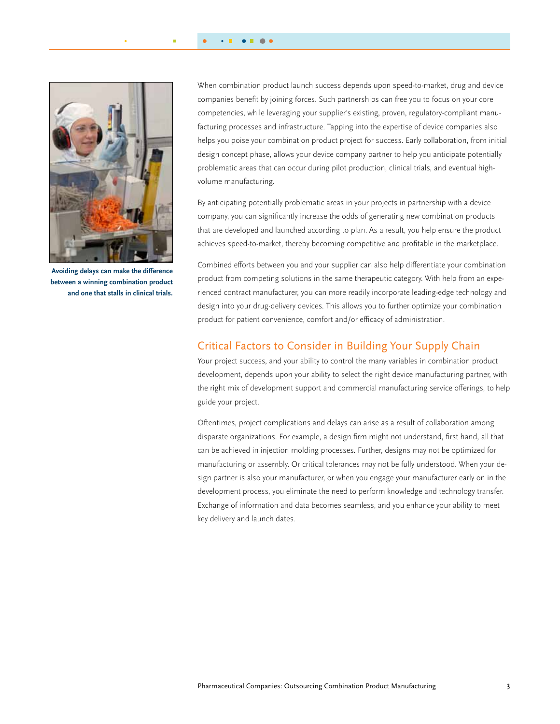$\bullet\bullet$ 



**Avoiding delays can make the difference between a winning combination product and one that stalls in clinical trials.**

When combination product launch success depends upon speed-to-market, drug and device companies benefit by joining forces. Such partnerships can free you to focus on your core competencies, while leveraging your supplier's existing, proven, regulatory-compliant manufacturing processes and infrastructure. Tapping into the expertise of device companies also helps you poise your combination product project for success. Early collaboration, from initial design concept phase, allows your device company partner to help you anticipate potentially problematic areas that can occur during pilot production, clinical trials, and eventual highvolume manufacturing.

By anticipating potentially problematic areas in your projects in partnership with a device company, you can significantly increase the odds of generating new combination products that are developed and launched according to plan. As a result, you help ensure the product achieves speed-to-market, thereby becoming competitive and profitable in the marketplace.

Combined efforts between you and your supplier can also help differentiate your combination product from competing solutions in the same therapeutic category. With help from an experienced contract manufacturer, you can more readily incorporate leading-edge technology and design into your drug-delivery devices. This allows you to further optimize your combination product for patient convenience, comfort and/or efficacy of administration.

## Critical Factors to Consider in Building Your Supply Chain

Your project success, and your ability to control the many variables in combination product development, depends upon your ability to select the right device manufacturing partner, with the right mix of development support and commercial manufacturing service offerings, to help guide your project.

Oftentimes, project complications and delays can arise as a result of collaboration among disparate organizations. For example, a design firm might not understand, first hand, all that can be achieved in injection molding processes. Further, designs may not be optimized for manufacturing or assembly. Or critical tolerances may not be fully understood. When your design partner is also your manufacturer, or when you engage your manufacturer early on in the development process, you eliminate the need to perform knowledge and technology transfer. Exchange of information and data becomes seamless, and you enhance your ability to meet key delivery and launch dates.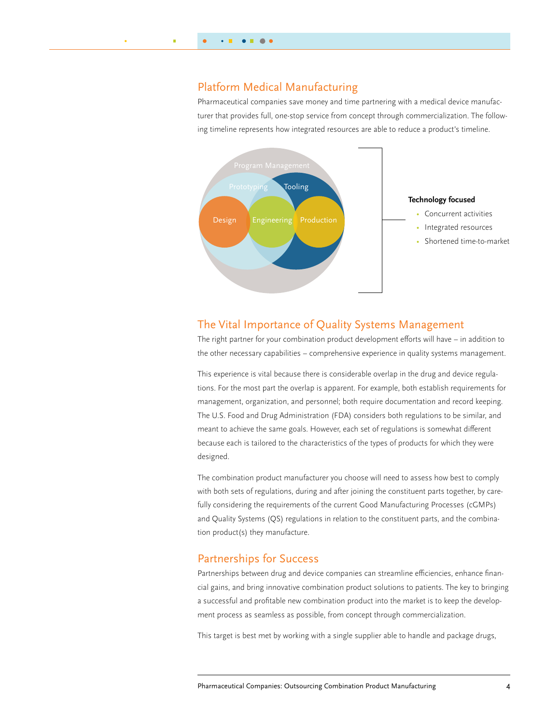## Platform Medical Manufacturing

Pharmaceutical companies save money and time partnering with a medical device manufacturer that provides full, one-stop service from concept through commercialization. The following timeline represents how integrated resources are able to reduce a product's timeline.



## The Vital Importance of Quality Systems Management

The right partner for your combination product development efforts will have – in addition to the other necessary capabilities – comprehensive experience in quality systems management.

This experience is vital because there is considerable overlap in the drug and device regulations. For the most part the overlap is apparent. For example, both establish requirements for management, organization, and personnel; both require documentation and record keeping. The U.S. Food and Drug Administration (FDA) considers both regulations to be similar, and meant to achieve the same goals. However, each set of regulations is somewhat different because each is tailored to the characteristics of the types of products for which they were designed.

The combination product manufacturer you choose will need to assess how best to comply with both sets of regulations, during and after joining the constituent parts together, by carefully considering the requirements of the current Good Manufacturing Processes (cGMPs) and Quality Systems (QS) regulations in relation to the constituent parts, and the combination product(s) they manufacture.

## Partnerships for Success

Partnerships between drug and device companies can streamline efficiencies, enhance financial gains, and bring innovative combination product solutions to patients. The key to bringing a successful and profitable new combination product into the market is to keep the development process as seamless as possible, from concept through commercialization.

This target is best met by working with a single supplier able to handle and package drugs,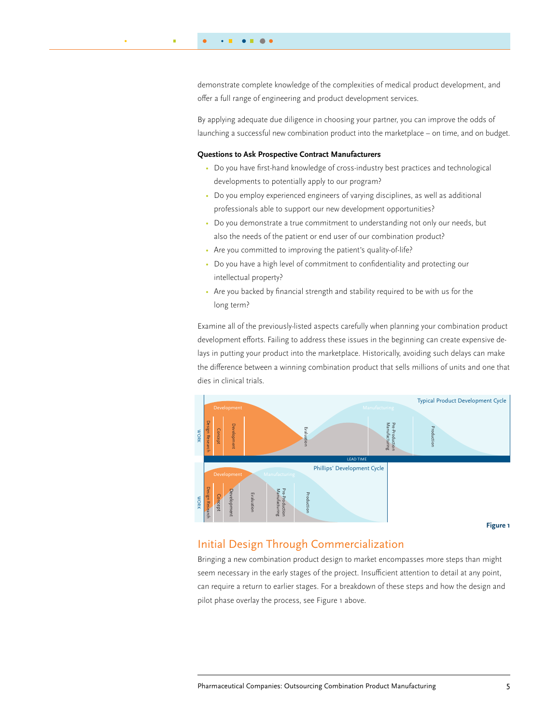demonstrate complete knowledge of the complexities of medical product development, and offer a full range of engineering and product development services.

By applying adequate due diligence in choosing your partner, you can improve the odds of launching a successful new combination product into the marketplace – on time, and on budget.

### **Questions to Ask Prospective Contract Manufacturers**

- Do you have first-hand knowledge of cross-industry best practices and technological developments to potentially apply to our program?
- Do you employ experienced engineers of varying disciplines, as well as additional professionals able to support our new development opportunities?
- Do you demonstrate a true commitment to understanding not only our needs, but also the needs of the patient or end user of our combination product?
- Are you committed to improving the patient's quality-of-life?
- Do you have a high level of commitment to confidentiality and protecting our intellectual property?
- Are you backed by financial strength and stability required to be with us for the long term?

Examine all of the previously-listed aspects carefully when planning your combination product development efforts. Failing to address these issues in the beginning can create expensive delays in putting your product into the marketplace. Historically, avoiding such delays can make the difference between a winning combination product that sells millions of units and one that dies in clinical trials.



### Initial Design Through Commercialization

Bringing a new combination product design to market encompasses more steps than might seem necessary in the early stages of the project. Insufficient attention to detail at any point, can require a return to earlier stages. For a breakdown of these steps and how the design and pilot phase overlay the process, see Figure 1 above.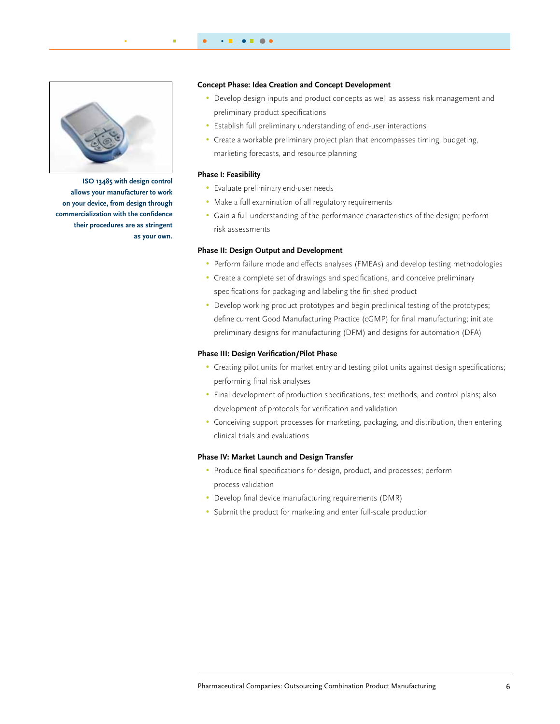

**ISO 13485 with design control allows your manufacturer to work on your device, from design through commercialization with the confidence their procedures are as stringent as your own.** 

### **Concept Phase: Idea Creation and Concept Development**

- Develop design inputs and product concepts as well as assess risk management and preliminary product specifications
- Establish full preliminary understanding of end-user interactions
- Create a workable preliminary project plan that encompasses timing, budgeting, marketing forecasts, and resource planning

### **Phase I: Feasibility**

- Evaluate preliminary end-user needs
- Make a full examination of all regulatory requirements
- Gain a full understanding of the performance characteristics of the design; perform risk assessments

### **Phase II: Design Output and Development**

- Perform failure mode and effects analyses (FMEAs) and develop testing methodologies
- Create a complete set of drawings and specifications, and conceive preliminary specifications for packaging and labeling the finished product
- Develop working product prototypes and begin preclinical testing of the prototypes; define current Good Manufacturing Practice (cGMP) for final manufacturing; initiate preliminary designs for manufacturing (DFM) and designs for automation (DFA)

### **Phase III: Design Verification/Pilot Phase**

- Creating pilot units for market entry and testing pilot units against design specifications; performing final risk analyses
- Final development of production specifications, test methods, and control plans; also development of protocols for verification and validation
- Conceiving support processes for marketing, packaging, and distribution, then entering clinical trials and evaluations

### **Phase IV: Market Launch and Design Transfer**

- Produce final specifications for design, product, and processes; perform process validation
- Develop final device manufacturing requirements (DMR)
- Submit the product for marketing and enter full-scale production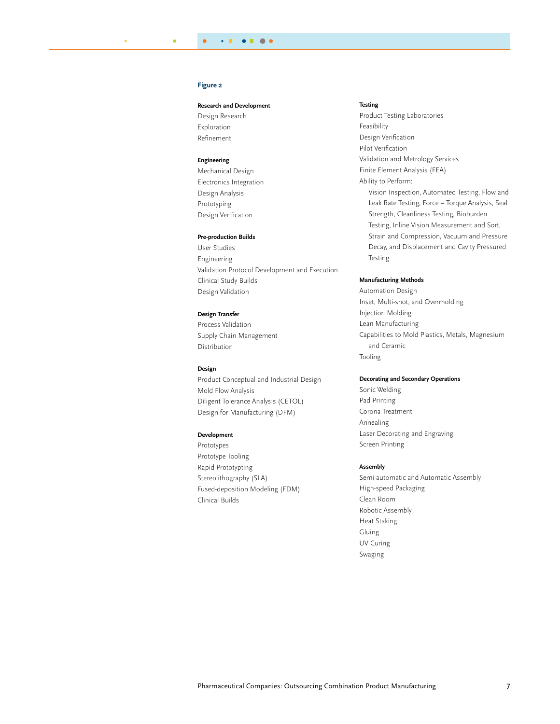#### **Figure 2**

### **Research and Development**

Design Research Exploration Refinement

#### **Engineering**

Mechanical Design Electronics Integration Design Analysis Prototyping Design Verification

#### **Pre-production Builds**

User Studies Engineering Validation Protocol Development and Execution Clinical Study Builds Design Validation

### **Design Transfer**

Process Validation Supply Chain Management Distribution

#### **Design**

Product Conceptual and Industrial Design Mold Flow Analysis Diligent Tolerance Analysis (CETOL) Design for Manufacturing (DFM)

#### **Development**

Prototypes Prototype Tooling Rapid Prototypting Stereolithography (SLA) Fused-deposition Modeling (FDM) Clinical Builds

### **Testing**

Product Testing Laboratories Feasibility Design Verification Pilot Verification Validation and Metrology Services Finite Element Analysis (FEA) Ability to Perform: Vision Inspection, Automated Testing, Flow and Leak Rate Testing, Force – Torque Analysis, Seal Strength, Cleanliness Testing, Bioburden Testing, Inline Vision Measurement and Sort, Strain and Compression, Vacuum and Pressure Decay, and Displacement and Cavity Pressured Testing

#### **Manufacturing Methods**

Automation Design Inset, Multi-shot, and Overmolding Injection Molding Lean Manufacturing Capabilities to Mold Plastics, Metals, Magnesium and Ceramic Tooling

#### **Decorating and Secondary Operations**

Sonic Welding Pad Printing Corona Treatment Annealing Laser Decorating and Engraving Screen Printing

#### **Assembly**

Semi-automatic and Automatic Assembly High-speed Packaging Clean Room Robotic Assembly Heat Staking Gluing UV Curing Swaging